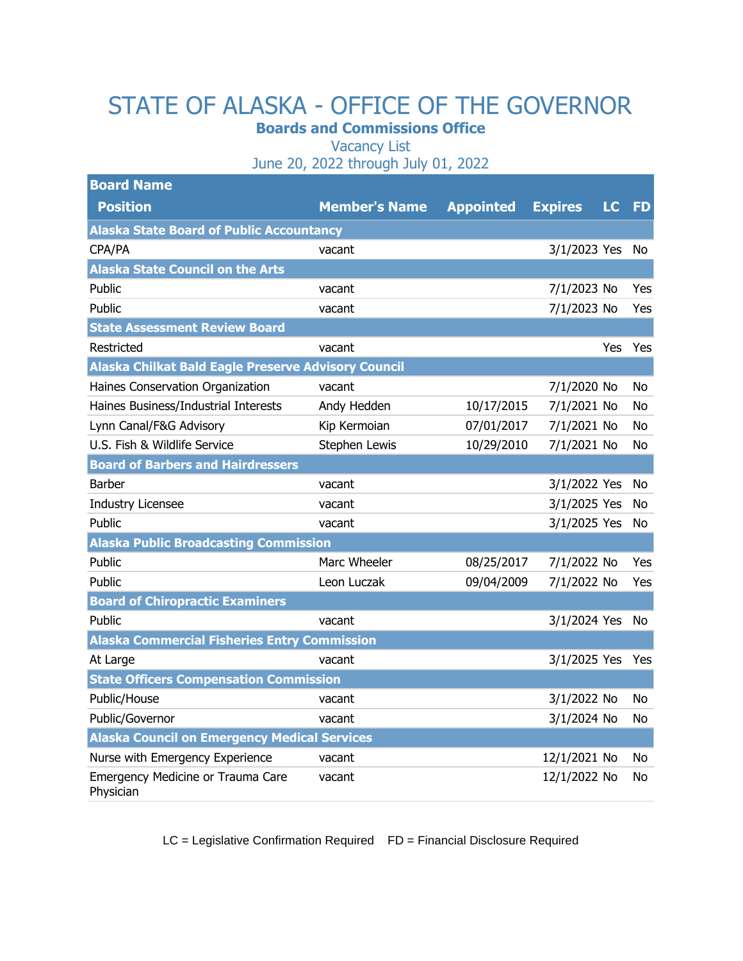## STATE OF ALASKA - OFFICE OF THE GOVERNOR

**Boards and Commissions Office**

Vacancy List

June 20, 2022 through July 01, 2022

| <b>Board Name</b>                                          |                      |                  |                |           |           |
|------------------------------------------------------------|----------------------|------------------|----------------|-----------|-----------|
| <b>Position</b>                                            | <b>Member's Name</b> | <b>Appointed</b> | <b>Expires</b> | <b>LC</b> | <b>FD</b> |
| <b>Alaska State Board of Public Accountancy</b>            |                      |                  |                |           |           |
| CPA/PA                                                     | vacant               |                  | 3/1/2023 Yes   |           | No        |
| <b>Alaska State Council on the Arts</b>                    |                      |                  |                |           |           |
| Public                                                     | vacant               |                  | 7/1/2023 No    |           | Yes       |
| Public                                                     | vacant               |                  | 7/1/2023 No    |           | Yes       |
| <b>State Assessment Review Board</b>                       |                      |                  |                |           |           |
| Restricted                                                 | vacant               |                  |                | Yes       | Yes       |
| <b>Alaska Chilkat Bald Eagle Preserve Advisory Council</b> |                      |                  |                |           |           |
| Haines Conservation Organization                           | vacant               |                  | 7/1/2020 No    |           | No        |
| Haines Business/Industrial Interests                       | Andy Hedden          | 10/17/2015       | 7/1/2021 No    |           | No        |
| Lynn Canal/F&G Advisory                                    | Kip Kermoian         | 07/01/2017       | 7/1/2021 No    |           | No        |
| U.S. Fish & Wildlife Service                               | Stephen Lewis        | 10/29/2010       | 7/1/2021 No    |           | No.       |
| <b>Board of Barbers and Hairdressers</b>                   |                      |                  |                |           |           |
| <b>Barber</b>                                              | vacant               |                  | 3/1/2022 Yes   |           | No        |
| Industry Licensee                                          | vacant               |                  | 3/1/2025 Yes   |           | No.       |
| Public                                                     | vacant               |                  | 3/1/2025 Yes   |           | No        |
| <b>Alaska Public Broadcasting Commission</b>               |                      |                  |                |           |           |
| Public                                                     | Marc Wheeler         | 08/25/2017       | 7/1/2022 No    |           | Yes       |
| Public                                                     | Leon Luczak          | 09/04/2009       | 7/1/2022 No    |           | Yes       |
| <b>Board of Chiropractic Examiners</b>                     |                      |                  |                |           |           |
| Public                                                     | vacant               |                  | 3/1/2024 Yes   |           | No        |
| <b>Alaska Commercial Fisheries Entry Commission</b>        |                      |                  |                |           |           |
| At Large                                                   | vacant               |                  | 3/1/2025 Yes   |           | Yes       |
| <b>State Officers Compensation Commission</b>              |                      |                  |                |           |           |
| Public/House                                               | vacant               |                  | 3/1/2022 No    |           | No        |
| Public/Governor                                            | vacant               |                  | 3/1/2024 No    |           | No        |
| <b>Alaska Council on Emergency Medical Services</b>        |                      |                  |                |           |           |
| Nurse with Emergency Experience                            | vacant               |                  | 12/1/2021 No   |           | No.       |
| Emergency Medicine or Trauma Care<br>Physician             | vacant               |                  | 12/1/2022 No   |           | No        |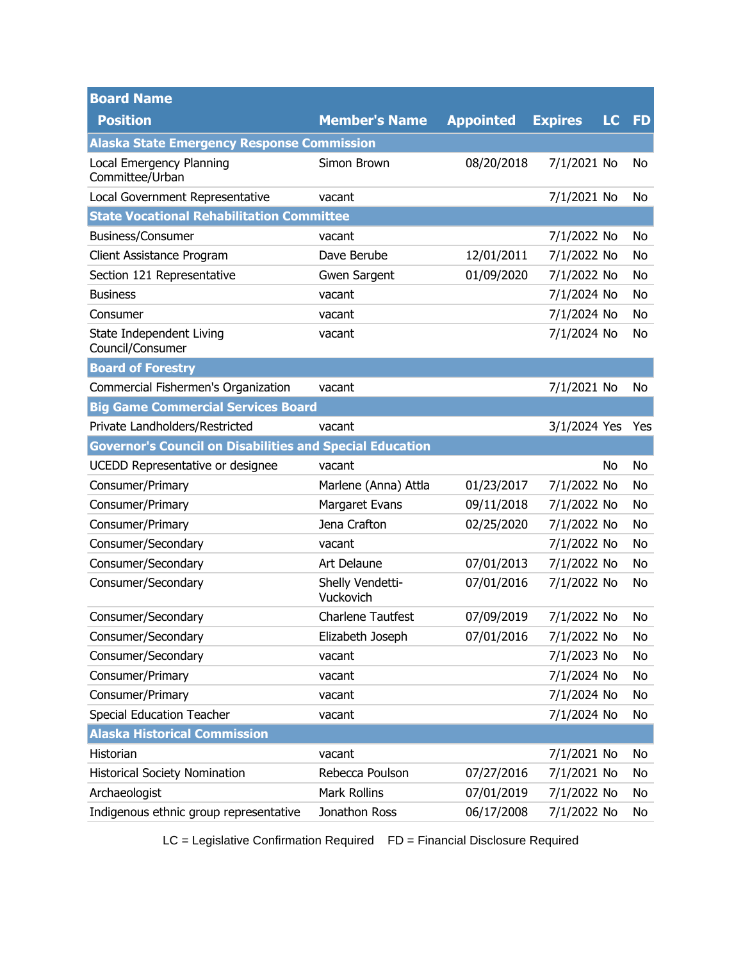| <b>Board Name</b>                                               |                               |                  |                |           |           |
|-----------------------------------------------------------------|-------------------------------|------------------|----------------|-----------|-----------|
| <b>Position</b>                                                 | <b>Member's Name</b>          | <b>Appointed</b> | <b>Expires</b> | <b>LC</b> | <b>FD</b> |
| <b>Alaska State Emergency Response Commission</b>               |                               |                  |                |           |           |
| Local Emergency Planning<br>Committee/Urban                     | Simon Brown                   | 08/20/2018       | 7/1/2021 No    |           | No        |
| Local Government Representative                                 | vacant                        |                  | 7/1/2021 No    |           | No        |
| <b>State Vocational Rehabilitation Committee</b>                |                               |                  |                |           |           |
| Business/Consumer                                               | vacant                        |                  | 7/1/2022 No    |           | No        |
| Client Assistance Program                                       | Dave Berube                   | 12/01/2011       | 7/1/2022 No    |           | No        |
| Section 121 Representative                                      | Gwen Sargent                  | 01/09/2020       | 7/1/2022 No    |           | No        |
| <b>Business</b>                                                 | vacant                        |                  | 7/1/2024 No    |           | No        |
| Consumer                                                        | vacant                        |                  | 7/1/2024 No    |           | No        |
| State Independent Living<br>Council/Consumer                    | vacant                        |                  | 7/1/2024 No    |           | No        |
| <b>Board of Forestry</b>                                        |                               |                  |                |           |           |
| Commercial Fishermen's Organization                             | vacant                        |                  | 7/1/2021 No    |           | No        |
| <b>Big Game Commercial Services Board</b>                       |                               |                  |                |           |           |
| Private Landholders/Restricted                                  | vacant                        |                  | 3/1/2024 Yes   |           | Yes       |
| <b>Governor's Council on Disabilities and Special Education</b> |                               |                  |                |           |           |
| UCEDD Representative or designee                                | vacant                        |                  |                | No        | No        |
| Consumer/Primary                                                | Marlene (Anna) Attla          | 01/23/2017       | 7/1/2022 No    |           | No        |
| Consumer/Primary                                                | Margaret Evans                | 09/11/2018       | 7/1/2022 No    |           | No        |
| Consumer/Primary                                                | Jena Crafton                  | 02/25/2020       | 7/1/2022 No    |           | No        |
| Consumer/Secondary                                              | vacant                        |                  | 7/1/2022 No    |           | No        |
| Consumer/Secondary                                              | Art Delaune                   | 07/01/2013       | 7/1/2022 No    |           | No        |
| Consumer/Secondary                                              | Shelly Vendetti-<br>Vuckovich | 07/01/2016       | 7/1/2022 No    |           | No        |
| Consumer/Secondary                                              | <b>Charlene Tautfest</b>      | 07/09/2019       | 7/1/2022 No    |           | No        |
| Consumer/Secondary                                              | Elizabeth Joseph              | 07/01/2016       | 7/1/2022 No    |           | No        |
| Consumer/Secondary                                              | vacant                        |                  | 7/1/2023 No    |           | No        |
| Consumer/Primary                                                | vacant                        |                  | 7/1/2024 No    |           | No        |
| Consumer/Primary                                                | vacant                        |                  | 7/1/2024 No    |           | No        |
| Special Education Teacher                                       | vacant                        |                  | 7/1/2024 No    |           | No        |
| <b>Alaska Historical Commission</b>                             |                               |                  |                |           |           |
| Historian                                                       | vacant                        |                  | 7/1/2021 No    |           | No        |
| <b>Historical Society Nomination</b>                            | Rebecca Poulson               | 07/27/2016       | 7/1/2021 No    |           | No        |
| Archaeologist                                                   | <b>Mark Rollins</b>           | 07/01/2019       | 7/1/2022 No    |           | No        |
| Indigenous ethnic group representative                          | Jonathon Ross                 | 06/17/2008       | 7/1/2022 No    |           | No        |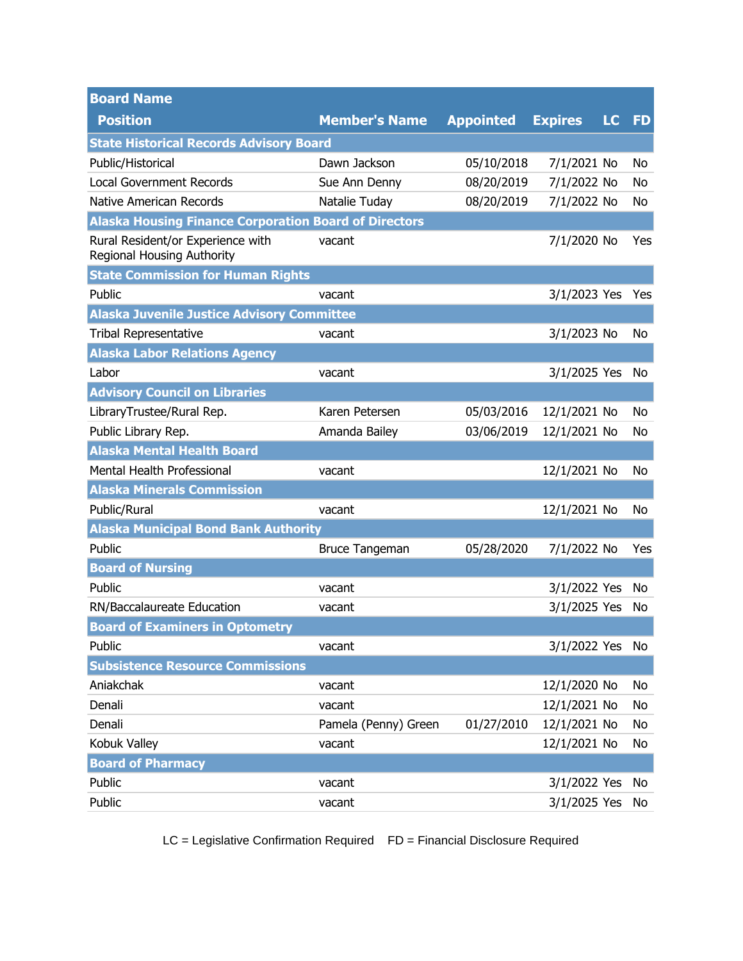| <b>Board Name</b>                                               |                       |                  |                |           |           |
|-----------------------------------------------------------------|-----------------------|------------------|----------------|-----------|-----------|
| <b>Position</b>                                                 | <b>Member's Name</b>  | <b>Appointed</b> | <b>Expires</b> | <b>LC</b> | <b>FD</b> |
| <b>State Historical Records Advisory Board</b>                  |                       |                  |                |           |           |
| Public/Historical                                               | Dawn Jackson          | 05/10/2018       | 7/1/2021 No    |           | No        |
| <b>Local Government Records</b>                                 | Sue Ann Denny         | 08/20/2019       | 7/1/2022 No    |           | No        |
| Native American Records                                         | Natalie Tuday         | 08/20/2019       | 7/1/2022 No    |           | No        |
| <b>Alaska Housing Finance Corporation Board of Directors</b>    |                       |                  |                |           |           |
| Rural Resident/or Experience with<br>Regional Housing Authority | vacant                |                  | 7/1/2020 No    |           | Yes       |
| <b>State Commission for Human Rights</b>                        |                       |                  |                |           |           |
| Public                                                          | vacant                |                  | 3/1/2023 Yes   |           | Yes       |
| <b>Alaska Juvenile Justice Advisory Committee</b>               |                       |                  |                |           |           |
| <b>Tribal Representative</b>                                    | vacant                |                  | 3/1/2023 No    |           | No        |
| <b>Alaska Labor Relations Agency</b>                            |                       |                  |                |           |           |
| Labor                                                           | vacant                |                  | 3/1/2025 Yes   |           | No        |
| <b>Advisory Council on Libraries</b>                            |                       |                  |                |           |           |
| LibraryTrustee/Rural Rep.                                       | Karen Petersen        | 05/03/2016       | 12/1/2021 No   |           | No        |
| Public Library Rep.                                             | Amanda Bailey         | 03/06/2019       | 12/1/2021 No   |           | No        |
| <b>Alaska Mental Health Board</b>                               |                       |                  |                |           |           |
| Mental Health Professional                                      | vacant                |                  | 12/1/2021 No   |           | No        |
| <b>Alaska Minerals Commission</b>                               |                       |                  |                |           |           |
| Public/Rural                                                    | vacant                |                  | 12/1/2021 No   |           | No        |
| <b>Alaska Municipal Bond Bank Authority</b>                     |                       |                  |                |           |           |
| Public                                                          | <b>Bruce Tangeman</b> | 05/28/2020       | 7/1/2022 No    |           | Yes       |
| <b>Board of Nursing</b>                                         |                       |                  |                |           |           |
| Public                                                          | vacant                |                  | 3/1/2022 Yes   |           | No.       |
| RN/Baccalaureate Education                                      | vacant                |                  | 3/1/2025 Yes   |           | No        |
| <b>Board of Examiners in Optometry</b>                          |                       |                  |                |           |           |
| Public                                                          | vacant                |                  | 3/1/2022 Yes   |           | No        |
| <b>Subsistence Resource Commissions</b>                         |                       |                  |                |           |           |
| Aniakchak                                                       | vacant                |                  | 12/1/2020 No   |           | No        |
| Denali                                                          | vacant                |                  | 12/1/2021 No   |           | No        |
| Denali                                                          | Pamela (Penny) Green  | 01/27/2010       | 12/1/2021 No   |           | No        |
| Kobuk Valley                                                    | vacant                |                  | 12/1/2021 No   |           | No        |
| <b>Board of Pharmacy</b>                                        |                       |                  |                |           |           |
| Public                                                          | vacant                |                  | 3/1/2022 Yes   |           | No        |
| Public                                                          | vacant                |                  | 3/1/2025 Yes   |           | No        |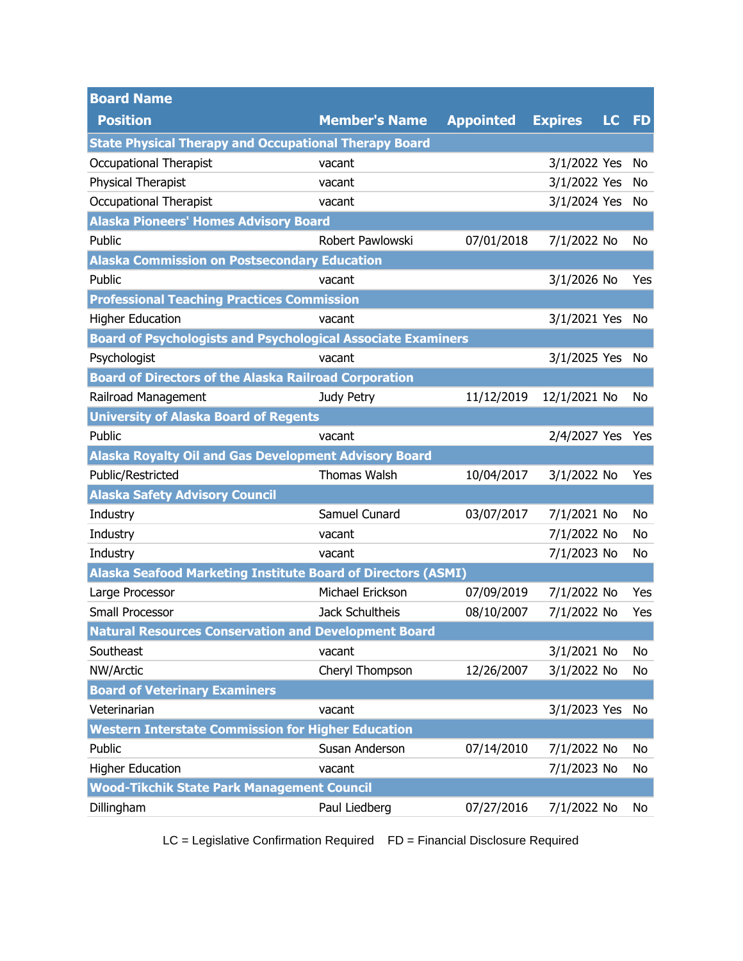| <b>Board Name</b>                                                   |                      |                  |                |    |           |
|---------------------------------------------------------------------|----------------------|------------------|----------------|----|-----------|
| <b>Position</b>                                                     | <b>Member's Name</b> | <b>Appointed</b> | <b>Expires</b> | LC | <b>FD</b> |
| <b>State Physical Therapy and Occupational Therapy Board</b>        |                      |                  |                |    |           |
| Occupational Therapist                                              | vacant               |                  | 3/1/2022 Yes   |    | No        |
| Physical Therapist                                                  | vacant               |                  | 3/1/2022 Yes   |    | No        |
| <b>Occupational Therapist</b>                                       | vacant               |                  | 3/1/2024 Yes   |    | No        |
| <b>Alaska Pioneers' Homes Advisory Board</b>                        |                      |                  |                |    |           |
| Public                                                              | Robert Pawlowski     | 07/01/2018       | 7/1/2022 No    |    | No        |
| <b>Alaska Commission on Postsecondary Education</b>                 |                      |                  |                |    |           |
| Public                                                              | vacant               |                  | 3/1/2026 No    |    | Yes       |
| <b>Professional Teaching Practices Commission</b>                   |                      |                  |                |    |           |
| <b>Higher Education</b>                                             | vacant               |                  | 3/1/2021 Yes   |    | No        |
| <b>Board of Psychologists and Psychological Associate Examiners</b> |                      |                  |                |    |           |
| Psychologist                                                        | vacant               |                  | 3/1/2025 Yes   |    | No        |
| <b>Board of Directors of the Alaska Railroad Corporation</b>        |                      |                  |                |    |           |
| Railroad Management                                                 | Judy Petry           | 11/12/2019       | 12/1/2021 No   |    | No        |
| <b>University of Alaska Board of Regents</b>                        |                      |                  |                |    |           |
| Public                                                              | vacant               |                  | 2/4/2027 Yes   |    | Yes       |
| <b>Alaska Royalty Oil and Gas Development Advisory Board</b>        |                      |                  |                |    |           |
| Public/Restricted                                                   | <b>Thomas Walsh</b>  | 10/04/2017       | 3/1/2022 No    |    | Yes       |
| <b>Alaska Safety Advisory Council</b>                               |                      |                  |                |    |           |
| Industry                                                            | Samuel Cunard        | 03/07/2017       | 7/1/2021 No    |    | No        |
| Industry                                                            | vacant               |                  | 7/1/2022 No    |    | No        |
| Industry                                                            | vacant               |                  | 7/1/2023 No    |    | No        |
| <b>Alaska Seafood Marketing Institute Board of Directors (ASMI)</b> |                      |                  |                |    |           |
| Large Processor                                                     | Michael Erickson     | 07/09/2019       | 7/1/2022 No    |    | Yes       |
| Small Processor                                                     | Jack Schultheis      | 08/10/2007       | 7/1/2022 No    |    | Yes       |
| <b>Natural Resources Conservation and Development Board</b>         |                      |                  |                |    |           |
| Southeast                                                           | vacant               |                  | 3/1/2021 No    |    | No        |
| NW/Arctic                                                           | Cheryl Thompson      | 12/26/2007       | 3/1/2022 No    |    | No        |
| <b>Board of Veterinary Examiners</b>                                |                      |                  |                |    |           |
| Veterinarian                                                        | vacant               |                  | 3/1/2023 Yes   |    | No        |
| <b>Western Interstate Commission for Higher Education</b>           |                      |                  |                |    |           |
| Public                                                              | Susan Anderson       | 07/14/2010       | 7/1/2022 No    |    | No        |
| <b>Higher Education</b>                                             | vacant               |                  | 7/1/2023 No    |    | No        |
| <b>Wood-Tikchik State Park Management Council</b>                   |                      |                  |                |    |           |
| Dillingham                                                          | Paul Liedberg        | 07/27/2016       | 7/1/2022 No    |    | No        |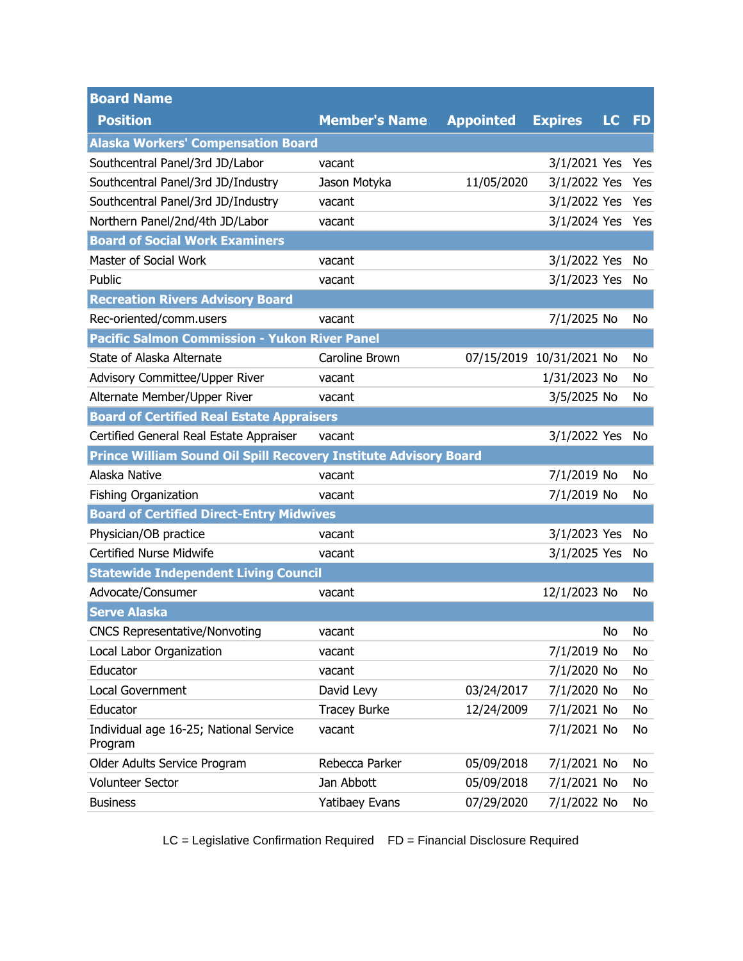| <b>Board Name</b>                                                |                       |                  |                          |    |           |
|------------------------------------------------------------------|-----------------------|------------------|--------------------------|----|-----------|
| <b>Position</b>                                                  | <b>Member's Name</b>  | <b>Appointed</b> | <b>Expires</b>           | LC | <b>FD</b> |
| <b>Alaska Workers' Compensation Board</b>                        |                       |                  |                          |    |           |
| Southcentral Panel/3rd JD/Labor                                  | vacant                |                  | 3/1/2021 Yes             |    | Yes       |
| Southcentral Panel/3rd JD/Industry                               | Jason Motyka          | 11/05/2020       | 3/1/2022 Yes             |    | Yes       |
| Southcentral Panel/3rd JD/Industry                               | vacant                |                  | 3/1/2022 Yes             |    | Yes       |
| Northern Panel/2nd/4th JD/Labor                                  | vacant                |                  | 3/1/2024 Yes             |    | Yes       |
| <b>Board of Social Work Examiners</b>                            |                       |                  |                          |    |           |
| Master of Social Work                                            | vacant                |                  | 3/1/2022 Yes             |    | No        |
| Public                                                           | vacant                |                  | 3/1/2023 Yes             |    | No        |
| <b>Recreation Rivers Advisory Board</b>                          |                       |                  |                          |    |           |
| Rec-oriented/comm.users                                          | vacant                |                  | 7/1/2025 No              |    | No        |
| <b>Pacific Salmon Commission - Yukon River Panel</b>             |                       |                  |                          |    |           |
| State of Alaska Alternate                                        | Caroline Brown        |                  | 07/15/2019 10/31/2021 No |    | No        |
| Advisory Committee/Upper River                                   | vacant                |                  | 1/31/2023 No             |    | No.       |
| Alternate Member/Upper River                                     | vacant                |                  | 3/5/2025 No              |    | No        |
| <b>Board of Certified Real Estate Appraisers</b>                 |                       |                  |                          |    |           |
| Certified General Real Estate Appraiser                          | vacant                |                  | 3/1/2022 Yes             |    | No        |
| Prince William Sound Oil Spill Recovery Institute Advisory Board |                       |                  |                          |    |           |
| Alaska Native                                                    | vacant                |                  | 7/1/2019 No              |    | No        |
| <b>Fishing Organization</b>                                      | vacant                |                  | 7/1/2019 No              |    | No        |
| <b>Board of Certified Direct-Entry Midwives</b>                  |                       |                  |                          |    |           |
| Physician/OB practice                                            | vacant                |                  | 3/1/2023 Yes             |    | No        |
| <b>Certified Nurse Midwife</b>                                   | vacant                |                  | 3/1/2025 Yes             |    | No        |
| <b>Statewide Independent Living Council</b>                      |                       |                  |                          |    |           |
| Advocate/Consumer                                                | vacant                |                  | 12/1/2023 No             |    | No        |
| <b>Serve Alaska</b>                                              |                       |                  |                          |    |           |
| <b>CNCS Representative/Nonvoting</b>                             | vacant                |                  |                          | No | No.       |
| Local Labor Organization                                         | vacant                |                  | 7/1/2019 No              |    | No.       |
| Educator                                                         | vacant                |                  | 7/1/2020 No              |    | No        |
| Local Government                                                 | David Levy            | 03/24/2017       | 7/1/2020 No              |    | No        |
| Educator                                                         | <b>Tracey Burke</b>   | 12/24/2009       | 7/1/2021 No              |    | No        |
| Individual age 16-25; National Service<br>Program                | vacant                |                  | 7/1/2021 No              |    | No        |
| Older Adults Service Program                                     | Rebecca Parker        | 05/09/2018       | 7/1/2021 No              |    | No        |
| <b>Volunteer Sector</b>                                          | Jan Abbott            | 05/09/2018       | 7/1/2021 No              |    | No        |
| <b>Business</b>                                                  | <b>Yatibaey Evans</b> | 07/29/2020       | 7/1/2022 No              |    | No        |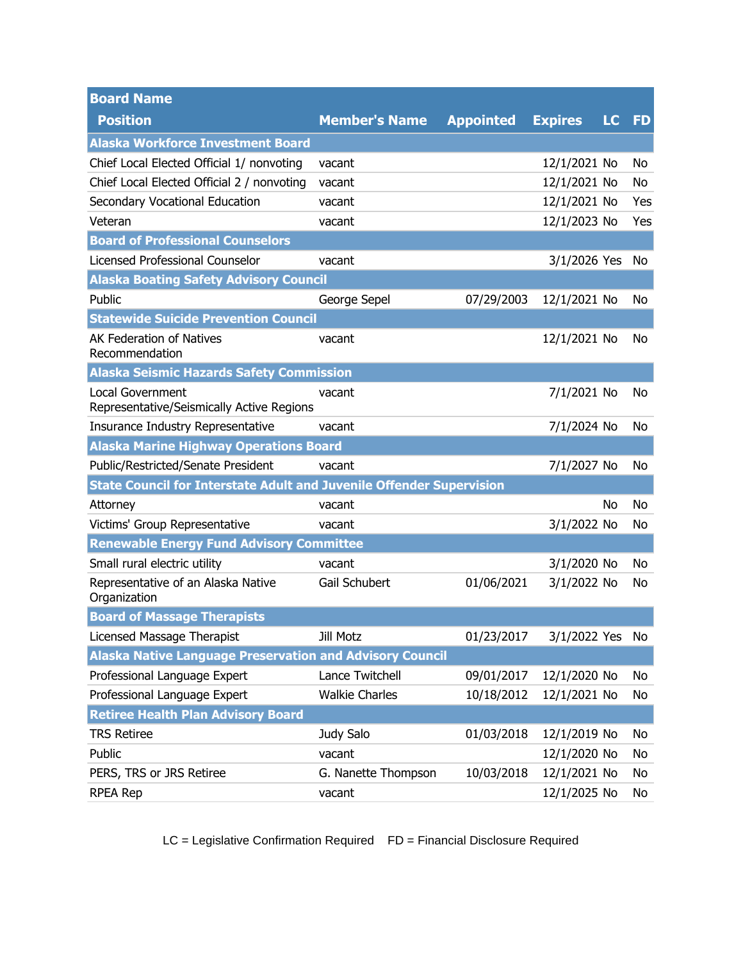| <b>Board Name</b>                                                           |                       |                  |                 |    |           |
|-----------------------------------------------------------------------------|-----------------------|------------------|-----------------|----|-----------|
| <b>Position</b>                                                             | <b>Member's Name</b>  | <b>Appointed</b> | <b>Expires</b>  | LC | <b>FD</b> |
| <b>Alaska Workforce Investment Board</b>                                    |                       |                  |                 |    |           |
| Chief Local Elected Official 1/ nonvoting                                   | vacant                |                  | 12/1/2021 No    |    | No        |
| Chief Local Elected Official 2 / nonvoting                                  | vacant                |                  | 12/1/2021 No    |    | No        |
| Secondary Vocational Education                                              | vacant                |                  | 12/1/2021 No    |    | Yes       |
| Veteran                                                                     | vacant                |                  | 12/1/2023 No    |    | Yes       |
| <b>Board of Professional Counselors</b>                                     |                       |                  |                 |    |           |
| Licensed Professional Counselor                                             | vacant                |                  | 3/1/2026 Yes    |    | No        |
| <b>Alaska Boating Safety Advisory Council</b>                               |                       |                  |                 |    |           |
| Public                                                                      | George Sepel          | 07/29/2003       | 12/1/2021 No    |    | No        |
| <b>Statewide Suicide Prevention Council</b>                                 |                       |                  |                 |    |           |
| <b>AK Federation of Natives</b><br>Recommendation                           | vacant                |                  | 12/1/2021 No    |    | No        |
| <b>Alaska Seismic Hazards Safety Commission</b>                             |                       |                  |                 |    |           |
| <b>Local Government</b><br>Representative/Seismically Active Regions        | vacant                |                  | 7/1/2021 No     |    | No        |
| Insurance Industry Representative                                           | vacant                |                  | 7/1/2024 No     |    | No        |
| <b>Alaska Marine Highway Operations Board</b>                               |                       |                  |                 |    |           |
| Public/Restricted/Senate President                                          | vacant                |                  | 7/1/2027 No     |    | No        |
| <b>State Council for Interstate Adult and Juvenile Offender Supervision</b> |                       |                  |                 |    |           |
| Attorney                                                                    | vacant                |                  |                 | No | No        |
| Victims' Group Representative                                               | vacant                |                  | 3/1/2022 No     |    | No        |
| <b>Renewable Energy Fund Advisory Committee</b>                             |                       |                  |                 |    |           |
| Small rural electric utility                                                | vacant                |                  | 3/1/2020 No     |    | No        |
| Representative of an Alaska Native<br>Organization                          | Gail Schubert         | 01/06/2021       | 3/1/2022 No     |    | No        |
| <b>Board of Massage Therapists</b>                                          |                       |                  |                 |    |           |
| Licensed Massage Therapist                                                  | <b>Jill Motz</b>      | 01/23/2017       | 3/1/2022 Yes No |    |           |
| <b>Alaska Native Language Preservation and Advisory Council</b>             |                       |                  |                 |    |           |
| Professional Language Expert                                                | Lance Twitchell       | 09/01/2017       | 12/1/2020 No    |    | No        |
| Professional Language Expert                                                | <b>Walkie Charles</b> | 10/18/2012       | 12/1/2021 No    |    | No        |
| <b>Retiree Health Plan Advisory Board</b>                                   |                       |                  |                 |    |           |
| <b>TRS Retiree</b>                                                          | Judy Salo             | 01/03/2018       | 12/1/2019 No    |    | No        |
| Public                                                                      | vacant                |                  | 12/1/2020 No    |    | No        |
| PERS, TRS or JRS Retiree                                                    | G. Nanette Thompson   | 10/03/2018       | 12/1/2021 No    |    | No        |
| <b>RPEA Rep</b>                                                             | vacant                |                  | 12/1/2025 No    |    | No        |